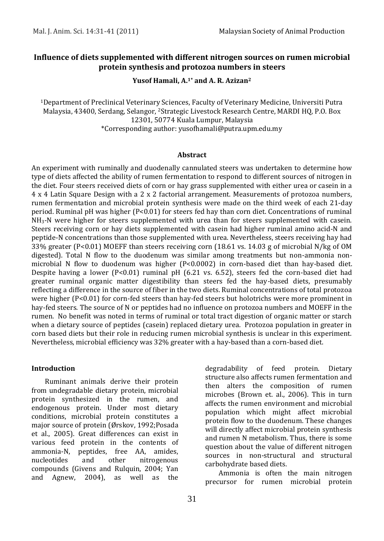## **Influence of diets supplemented with different nitrogen sources on rumen microbial protein synthesis and protozoa numbers in steers**

### **Yusof Hamali, A.1\* and A. R. Azizan<sup>2</sup>**

<sup>1</sup>Department of Preclinical Veterinary Sciences, Faculty of Veterinary Medicine, Universiti Putra Malaysia, 43400, Serdang, Selangor, 2Strategic Livestock Research Centre, MARDI HQ, P.O. Box 12301, 50774 Kuala Lumpur, Malaysia \*Corresponding author: yusofhamali@putra.upm.edu.my

#### **Abstract**

An experiment with ruminally and duodenally cannulated steers was undertaken to determine how type of diets affected the ability of rumen fermentation to respond to different sources of nitrogen in the diet. Four steers received diets of corn or hay grass supplemented with either urea or casein in a 4 x 4 Latin Square Design with a 2 x 2 factorial arrangement. Measurements of protozoa numbers, rumen fermentation and microbial protein synthesis were made on the third week of each 21-day period. Ruminal pH was higher (P<0.01) for steers fed hay than corn diet. Concentrations of ruminal  $NH<sub>3</sub>$ -N were higher for steers supplemented with urea than for steers supplemented with casein. Steers receiving corn or hay diets supplemented with casein had higher ruminal amino acid-N and peptide-N concentrations than those supplemented with urea. Nevertheless, steers receiving hay had 33% greater (P<0.01) MOEFF than steers receiving corn (18.61 vs. 14.03 g of microbial N/kg of OM digested). Total N flow to the duodenum was similar among treatments but non-ammonia nonmicrobial N flow to duodenum was higher (P<0.0002) in corn-based diet than hay-based diet. Despite having a lower ( $P < 0.01$ ) ruminal pH (6.21 vs. 6.52), steers fed the corn-based diet had greater ruminal organic matter digestibility than steers fed the hay-based diets, presumably reflecting a difference in the source of fiber in the two diets. Ruminal concentrations of total protozoa were higher (P<0.01) for corn-fed steers than hay-fed steers but holotrichs were more prominent in hay-fed steers. The source of N or peptides had no influence on protozoa numbers and MOEFF in the rumen. No benefit was noted in terms of ruminal or total tract digestion of organic matter or starch when a dietary source of peptides (casein) replaced dietary urea. Protozoa population in greater in corn based diets but their role in reducing rumen microbial synthesis is unclear in this experiment. Nevertheless, microbial efficiency was 32% greater with a hay-based than a corn-based diet.

#### **Introduction**

Ruminant animals derive their protein from undegradable dietary protein, microbial protein synthesized in the rumen, and endogenous protein. Under most dietary conditions, microbial protein constitutes a major source of protein (Ørskov, 1992;Posada et al., 2005). Great differences can exist in various feed protein in the contents of ammonia-N, peptides, free AA, amides, nucleotides and other nitrogenous compounds (Givens and Rulquin, 2004; Yan and Agnew, 2004), as well as the degradability of feed protein. Dietary structure also affects rumen fermentation and then alters the composition of rumen microbes (Brown et. al., 2006). This in turn affects the rumen environment and microbial population which might affect microbial protein flow to the duodenum. These changes will directly affect microbial protein synthesis and rumen N metabolism. Thus, there is some question about the value of different nitrogen sources in non-structural and structural carbohydrate based diets.

Ammonia is often the main nitrogen precursor for rumen microbial protein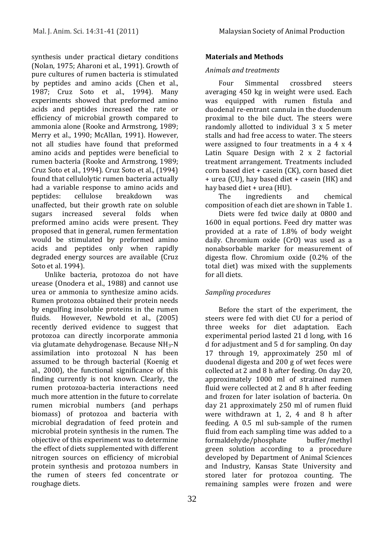synthesis under practical dietary conditions (Nolan, 1975; Aharoni et al., 1991). Growth of pure cultures of rumen bacteria is stimulated by peptides and amino acids (Chen et al., 1987; Cruz Soto et al., 1994). Many experiments showed that preformed amino acids and peptides increased the rate or efficiency of microbial growth compared to ammonia alone (Rooke and Armstrong, 1989; Merry et al., 1990; McAllan, 1991). However, not all studies have found that preformed amino acids and peptides were beneficial to rumen bacteria (Rooke and Armstrong, 1989; Cruz Soto et al., 1994). Cruz Soto et al., (1994) found that cellulolytic rumen bacteria actually had a variable response to amino acids and peptides: cellulose breakdown was unaffected, but their growth rate on soluble sugars increased several folds when preformed amino acids were present. They proposed that in general, rumen fermentation would be stimulated by preformed amino acids and peptides only when rapidly degraded energy sources are available (Cruz Soto et al. 1994).

Unlike bacteria, protozoa do not have urease (Onodera et al., 1988) and cannot use urea or ammonia to synthesize amino acids. Rumen protozoa obtained their protein needs by engulfing insoluble proteins in the rumen fluids. However, Newbold et al., (2005) recently derived evidence to suggest that protozoa can directly incorporate ammonia via glutamate dehydrogenase. Because NH3-N assimilation into protozoal N has been assumed to be through bacterial (Koenig et al., 2000), the functional significance of this finding currently is not known. Clearly, the rumen protozoa-bacteria interactions need much more attention in the future to correlate rumen microbial numbers (and perhaps biomass) of protozoa and bacteria with microbial degradation of feed protein and microbial protein synthesis in the rumen. The objective of this experiment was to determine the effect of diets supplemented with different nitrogen sources on efficiency of microbial protein synthesis and protozoa numbers in the rumen of steers fed concentrate or roughage diets.

# **Materials and Methods**

## *Animals and treatments*

Four Simmental crossbred steers averaging 450 kg in weight were used. Each was equipped with rumen fistula and duodenal re-entrant cannula in the duodenum proximal to the bile duct. The steers were randomly allotted to individual 3 x 5 meter stalls and had free access to water. The steers were assigned to four treatments in a 4 x 4 Latin Square Design with 2 x 2 factorial treatment arrangement. Treatments included corn based diet + casein (CK), corn based diet + urea (CU), hay based diet + casein (HK) and hay based diet + urea (HU).

The ingredients and chemical composition of each diet are shown in Table 1.

Diets were fed twice daily at 0800 and 1600 in equal portions. Feed dry matter was provided at a rate of 1.8% of body weight daily. Chromium oxide (CrO) was used as a nonabsorbable marker for measurement of digesta flow. Chromium oxide (0.2% of the total diet) was mixed with the supplements for all diets.

## *Sampling procedures*

Before the start of the experiment, the steers were fed with diet CU for a period of three weeks for diet adaptation. Each experimental period lasted 21 d long, with 16 d for adjustment and 5 d for sampling. On day 17 through 19, approximately 250 ml of duodenal digesta and 200 g of wet feces were collected at 2 and 8 h after feeding. On day 20, approximately 1000 ml of strained rumen fluid were collected at 2 and 8 h after feeding and frozen for later isolation of bacteria. On day 21 approximately 250 ml of rumen fluid were withdrawn at 1, 2, 4 and 8 h after feeding. A 0.5 ml sub-sample of the rumen fluid from each sampling time was added to a formaldehyde/phosphate buffer/methyl green solution according to a procedure developed by Department of Animal Sciences and Industry, Kansas State University and stored later for protozoa counting. The remaining samples were frozen and were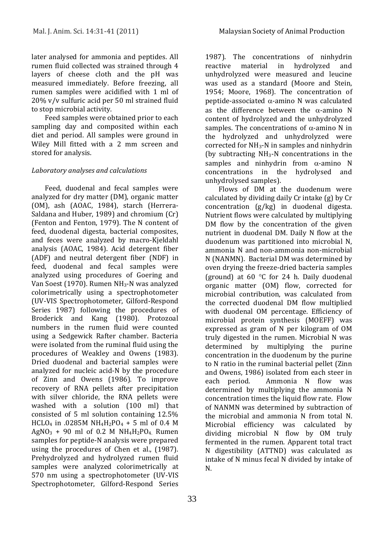later analysed for ammonia and peptides. All rumen fluid collected was strained through 4 layers of cheese cloth and the pH was measured immediately. Before freezing, all rumen samples were acidified with 1 ml of 20% v/v sulfuric acid per 50 ml strained fluid to stop microbial activity.

Feed samples were obtained prior to each sampling day and composited within each diet and period. All samples were ground in Wiley Mill fitted with a 2 mm screen and stored for analysis.

## *Laboratory analyses and calculations*

Feed, duodenal and fecal samples were analyzed for dry matter (DM), organic matter (OM), ash (AOAC, 1984), starch (Herrera-Saldana and Huber, 1989) and chromium (Cr) (Fenton and Fenton, 1979). The N content of feed, duodenal digesta, bacterial composites, and feces were analyzed by macro-Kjeldahl analysis (AOAC, 1984). Acid detergent fiber (ADF) and neutral detergent fiber (NDF) in feed, duodenal and fecal samples were analyzed using procedures of Goering and Van Soest (1970). Rumen NH3-N was analyzed colorimetrically using a spectrophotometer (UV-VIS Spectrophotometer, Gilford-Respond Series 1987) following the procedures of Broderick and Kang (1980). Protozoal numbers in the rumen fluid were counted using a Sedgewick Rafter chamber. Bacteria were isolated from the ruminal fluid using the procedures of Weakley and Owens (1983). Dried duodenal and bacterial samples were analyzed for nucleic acid-N by the procedure of Zinn and Owens (1986). To improve recovery of RNA pellets after precipitation with silver chloride, the RNA pellets were washed with a solution (100 ml) that consisted of 5 ml solution containing 12.5% HCLO<sub>4</sub> in .0285M NH<sub>4</sub>H<sub>2</sub>PO<sub>4</sub> + 5 ml of 0.4 M  $AgNO<sub>3</sub> + 90$  ml of 0.2 M  $NH<sub>4</sub>H<sub>2</sub>PO<sub>4</sub>$  Rumen samples for peptide-N analysis were prepared using the procedures of Chen et al., (1987). Prehydrolyzed and hydrolyzed rumen fluid samples were analyzed colorimetrically at 570 nm using a spectrophotometer (UV-VIS Spectrophotometer, Gilford-Respond Series

1987). The concentrations of ninhydrin reactive material in hydrolyzed and unhydrolyzed were measured and leucine was used as a standard (Moore and Stein, 1954; Moore, 1968). The concentration of peptide-associated  $\alpha$ -amino N was calculated as the difference between the  $\alpha$ -amino N content of hydrolyzed and the unhydrolyzed samples. The concentrations of  $\alpha$ -amino N in the hydrolyzed and unhydrolyzed were corrected for NH3-N in samples and ninhydrin (by subtracting  $NH<sub>3</sub>-N$  concentrations in the samples and ninhydrin from  $\alpha$ -amino N concentrations in the hydrolysed and unhydrolysed samples).

Flows of DM at the duodenum were calculated by dividing daily Cr intake (g) by Cr concentration (g/kg) in duodenal digesta. Nutrient flows were calculated by multiplying DM flow by the concentration of the given nutrient in duodenal DM. Daily N flow at the duodenum was partitioned into microbial N, ammonia N and non-ammonia non-microbial N (NANMN). Bacterial DM was determined by oven drying the freeze-dried bacteria samples (ground) at 60 $\degree$ C for 24 h. Daily duodenal organic matter (OM) flow, corrected for microbial contribution, was calculated from the corrected duodenal DM flow multiplied with duodenal OM percentage. Efficiency of microbial protein synthesis (MOEFF) was expressed as gram of N per kilogram of OM truly digested in the rumen. Microbial N was determined by multiplying the purine concentration in the duodenum by the purine to N ratio in the ruminal bacterial pellet (Zinn and Owens, 1986) isolated from each steer in each period. Ammonia N flow was determined by multiplying the ammonia N concentration times the liquid flow rate. Flow of NANMN was determined by subtraction of the microbial and ammonia N from total N. Microbial efficiency was calculated by dividing microbial N flow by OM truly fermented in the rumen. Apparent total tract N digestibility (ATTND) was calculated as intake of N minus fecal N divided by intake of N.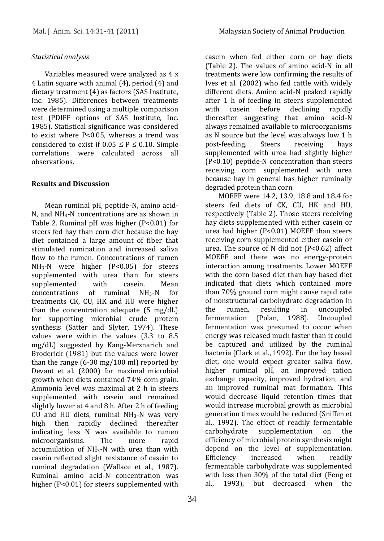### *Statistical analysis*

Variables measured were analyzed as 4 x 4 Latin square with animal (4), period (4) and dietary treatment (4) as factors (SAS Institute, Inc. 1985). Differences between treatments were determined using a multiple comparison test (PDIFF options of SAS Institute, Inc. 1985). Statistical significance was considered to exist where P<0.05, whereas a trend was considered to exist if  $0.05 \leq P \leq 0.10$ . Simple correlations were calculated across all observations.

### **Results and Discussion**

Mean ruminal pH, peptide-N, amino acid-N, and  $NH<sub>3</sub>$ -N concentrations are as shown in Table 2. Ruminal pH was higher (P<0.01) for steers fed hay than corn diet because the hay diet contained a large amount of fiber that stimulated rumination and increased saliva flow to the rumen. Concentrations of rumen NH<sub>3</sub>-N were higher (P<0.05) for steers supplemented with urea than for steers supplemented with casein. Mean concentrations of ruminal NH3-N for treatments CK, CU, HK and HU were higher than the concentration adequate (5 mg/dL) for supporting microbial crude protein synthesis (Satter and Slyter, 1974). These values were within the values (3.3 to 8.5 mg/dL) suggested by Kang-Merznarich and Broderick (1981) but the values were lower than the range (6-30 mg/100 ml) reported by Devant et al. (2000) for maximal microbial growth when diets contained 74% corn grain. Ammonia level was maximal at 2 h in steers supplemented with casein and remained slightly lower at 4 and 8 h. After 2 h of feeding CU and HU diets, ruminal  $NH<sub>3</sub>$ -N was very high then rapidly declined thereafter indicating less N was available to rumen microorganisms. The more rapid accumulation of  $NH<sub>3</sub>-N$  with urea than with casein reflected slight resistance of casein to ruminal degradation (Wallace et al., 1987). Ruminal amino acid-N concentration was higher (P<0.01) for steers supplemented with

casein when fed either corn or hay diets (Table 2). The values of amino acid-N in all treatments were low confirming the results of Ives et al. (2002) who fed cattle with widely different diets. Amino acid-N peaked rapidly after 1 h of feeding in steers supplemented with casein before declining rapidly thereafter suggesting that amino acid-N always remained available to microorganisms as N source but the level was always low 1 h post-feeding. Steers receiving hays supplemented with urea had slightly higher (P<0.10) peptide-N concentration than steers receiving corn supplemented with urea because hay in general has higher ruminally degraded protein than corn.

MOEFF were 14.2, 13.9, 18.8 and 18.4 for steers fed diets of CK, CU, HK and HU, respectively (Table 2). Those steers receiving hay diets supplemented with either casein or urea had higher (P<0.01) MOEFF than steers receiving corn supplemented either casein or urea. The source of N did not (P<0.62) affect MOEFF and there was no energy-protein interaction among treatments. Lower MOEFF with the corn based diet than hay based diet indicated that diets which contained more than 70% ground corn might cause rapid rate of nonstructural carbohydrate degradation in the rumen, resulting in uncoupled fermentation (Polan, 1988). Uncoupled fermentation was presumed to occur when energy was released much faster than it could be captured and utilized by the ruminal bacteria (Clark et al., 1992). For the hay based diet, one would expect greater saliva flow, higher ruminal pH, an improved cation exchange capacity, improved hydration, and an improved ruminal mat formation. This would decrease liquid retention times that would increase microbial growth as microbial generation times would be reduced (Sniffen et al., 1992). The effect of readily fermentable carbohydrate supplementation on the efficiency of microbial protein synthesis might depend on the level of supplementation. Efficiency increased when readily fermentable carbohydrate was supplemented with less than 30% of the total diet (Feng et al., 1993), but decreased when the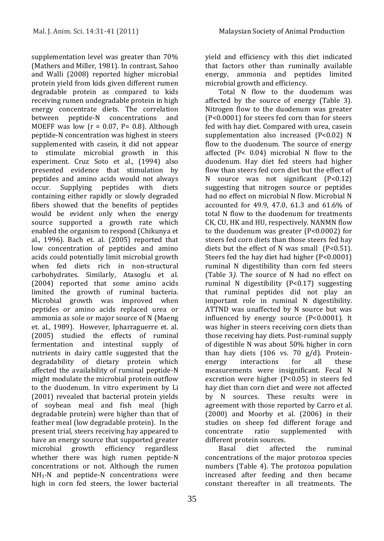supplementation level was greater than 70% (Mathers and Miller, 1981). In contrast, Sahoo and Walli (2008) reported higher microbial protein yield from kids given different rumen degradable protein as compared to kids receiving rumen undegradable protein in high energy concentrate diets. The correlation between peptide-N concentrations and MOEFF was low ( $r = 0.07$ , P= 0.8). Although peptide-N concentration was highest in steers supplemented with casein, it did not appear to stimulate microbial growth in this experiment. Cruz Soto et al., (1994) also presented evidence that stimulation by peptides and amino acids would not always occur. Supplying peptides with diets containing either rapidly or slowly degraded fibers showed that the benefits of peptides would be evident only when the energy source supported a growth rate which enabled the organism to respond (Chikunya et al., 1996). Bach et. al. (2005) reported that low concentration of peptides and amino acids could potentially limit microbial growth when fed diets rich in non-structural carbohydrates. Similarly, Atasoglu et al. (2004) reported that some amino acids limited the growth of ruminal bacteria. Microbial growth was improved when peptides or amino acids replaced urea or ammonia as sole or major source of N (Maeng et. al., 1989). However, Ipharraguerre et. al. (2005) studied the effects of ruminal fermentation and intestinal supply of nutrients in dairy cattle suggested that the degradability of dietary protein which affected the availability of ruminal peptide-N might modulate the microbial protein outflow to the duodenum. In vitro experiment by Li (2001) revealed that bacterial protein yields of soybean meal and fish meal (high degradable protein) were higher than that of feather meal (low degradable protein). In the present trial, steers receiving hay appeared to have an energy source that supported greater microbial growth efficiency regardless whether there was high rumen peptide-N concentrations or not. Although the rumen  $NH<sub>3</sub>$ -N and peptide-N concentrations were high in corn fed steers, the lower bacterial

yield and efficiency with this diet indicated that factors other than ruminally available energy, ammonia and peptides limited microbial growth and efficiency.

Total N flow to the duodenum was affected by the source of energy (Table 3). Nitrogen flow to the duodenum was greater (P<0.0001) for steers fed corn than for steers fed with hay diet. Compared with urea, casein supplementation also increased (P<0.02) N flow to the duodenum. The source of energy affected (P< 0.04) microbial N flow to the duodenum. Hay diet fed steers had higher flow than steers fed corn diet but the effect of N source was not significant (P<0.12) suggesting that nitrogen source or peptides had no effect on microbial N flow. Microbial N accounted for 49.9, 47.0, 61.3 and 61.6% of total N flow to the duodenum for treatments CK, CU, HK and HU, respectively. NANMN flow to the duodenum was greater (P<0.0002) for steers fed corn diets than those steers fed hay diets but the effect of N was small (P<0.51). Steers fed the hay diet had higher (P<0.0001) ruminal N digestibility than corn fed steers (Table 3*).* The source of N had no effect on ruminal N digestibility (P<0.17) suggesting that ruminal peptides did not play an important role in ruminal N digestibility. ATTND was unaffected by N source but was influenced by energy source (P<0.0001). It was higher in steers receiving corn diets than those receiving hay diets. Post-ruminal supply of digestible N was about 50% higher in corn than hay diets (106 vs. 70 g/d). Proteinenergy interactions for all these measurements were insignificant. Fecal N excretion were higher (P<0.05) in steers fed hay diet than corn diet and were not affected by N sources. These results were in agreement with those reported by [Carro et al.](http://jas.fass.org/content/87/9/2924.long#ref-8)  [\(2000\)](http://jas.fass.org/content/87/9/2924.long#ref-8) and [Moorby et al. \(2006\)](http://jas.fass.org/content/87/9/2924.long#ref-32) in their studies on sheep fed different forage and concentrate ratio supplemented with different protein sources.

Basal diet affected the ruminal concentrations of the major protozoa species numbers (Table 4). The protozoa population increased after feeding and then became constant thereafter in all treatments. The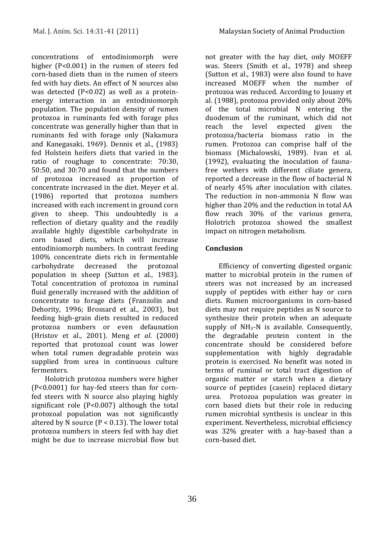concentrations of entodiniomorph were higher (P<0.001) in the rumen of steers fed corn-based diets than in the rumen of steers fed with hay diets. An effect of N sources also was detected (P<0.02) as well as a proteinenergy interaction in an entodiniomorph population. The population density of rumen protozoa in ruminants fed with forage plus concentrate was generally higher than that in ruminants fed with forage only (Nakamura and Kanegasaki, 1969). Dennis et al., (1983) fed Holstein heifers diets that varied in the ratio of roughage to concentrate: 70:30, 50:50, and 30:70 and found that the numbers of protozoa increased as proportion of concentrate increased in the diet. Meyer et al. (1986) reported that protozoa numbers increased with each increment in ground corn given to sheep. This undoubtedly is a reflection of dietary quality and the readily available highly digestible carbohydrate in corn based diets, which will increase entodiniomorph numbers. In contrast feeding 100% concentrate diets rich in fermentable carbohydrate decreased the protozoal population in sheep (Sutton et al., 1983). Total concentration of protozoa in ruminal fluid generally increased with the addition of concentrate to forage diets [\(Franzolin and](http://jas.fass.org/content/87/9/2924.long#ref-16)  [Dehority, 1996;](http://jas.fass.org/content/87/9/2924.long#ref-16) [Brossard et al., 2003\)](http://jas.fass.org/content/87/9/2924.long#ref-4), but feeding high-grain diets resulted in reduced protozoa numbers or even defaunation [\(Hristov et al., 2001\)](http://jas.fass.org/content/87/9/2924.long#ref-20). Meng *et al*[. \(2000\)](javascript:;) reported that protozoal count was lower when total rumen degradable protein was supplied from urea in continuous culture fermenters.

Holotrich protozoa numbers were higher (P<0.0001) for hay-fed steers than for cornfed steers with N source also playing highly significant role (P<0.007) although the total protozoal population was not significantly altered by N source ( $P < 0.13$ ). The lower total protozoa numbers in steers fed with hay diet might be due to increase microbial flow but not greater with the hay diet, only MOEFF was. Steers (Smith et al., 1978) and sheep (Sutton et al., 1983) were also found to have increased MOEFF when the number of protozoa was reduced. According to Jouany et al. (1988), protozoa provided only about 20% of the total microbial N entering the duodenum of the ruminant, which did not reach the level expected given the protozoa/bacteria biomass ratio in the rumen. Protozoa can comprise half of the biomass (Michalowski, 1989). Ivan et al. (1992), evaluating the inoculation of faunafree wethers with different ciliate genera, reported a decrease in the flow of bacterial N of nearly 45% after inoculation with cilates. The reduction in non-ammonia N flow was higher than 20% and the reduction in total AA flow reach 30% of the various genera, Holotrich protozoa showed the smallest impact on nitrogen metabolism.

## **Conclusion**

Efficiency of converting digested organic matter to microbial protein in the rumen of steers was not increased by an increased supply of peptides with either hay or corn diets. Rumen microorganisms in corn-based diets may not require peptides as N source to synthesize their protein when an adequate supply of  $NH_3-N$  is available. Consequently, the degradable protein content in the concentrate should be considered before supplementation with highly degradable protein is exercised. No benefit was noted in terms of ruminal or total tract digestion of organic matter or starch when a dietary source of peptides (casein) replaced dietary urea. Protozoa population was greater in corn based diets but their role in reducing rumen microbial synthesis is unclear in this experiment. Nevertheless, microbial efficiency was 32% greater with a hay-based than a corn-based diet.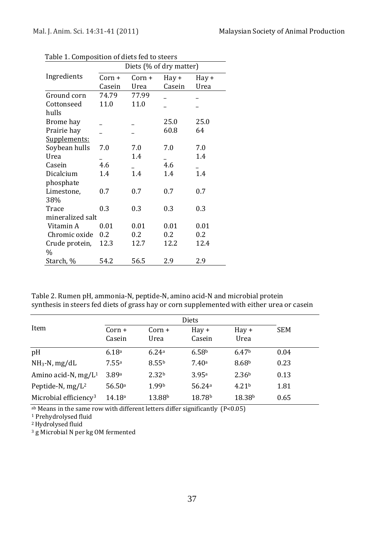|                  | Diets (% of dry matter) |        |             |       |  |  |
|------------------|-------------------------|--------|-------------|-------|--|--|
| Ingredients      | Corn +                  | Corn + | $\rm Hay +$ | Hay + |  |  |
|                  | Casein                  | Urea   | Casein      | Urea  |  |  |
| Ground corn      | 74.79                   | 77.99  |             |       |  |  |
| Cottonseed       | 11.0                    | 11.0   |             |       |  |  |
| hulls            |                         |        |             |       |  |  |
| Brome hay        |                         |        | 25.0        | 25.0  |  |  |
| Prairie hay      |                         |        | 60.8        | 64    |  |  |
| Supplements:     |                         |        |             |       |  |  |
| Soybean hulls    | 7.0                     | 7.0    | 7.0         | 7.0   |  |  |
| Urea             |                         | 1.4    |             | 1.4   |  |  |
| Casein           | 4.6                     |        | 4.6         |       |  |  |
| Dicalcium        | 1.4                     | 1.4    | 1.4         | 1.4   |  |  |
| phosphate        |                         |        |             |       |  |  |
| Limestone,       | 0.7                     | 0.7    | 0.7         | 0.7   |  |  |
| 38%              |                         |        |             |       |  |  |
| Trace            | 0.3                     | 0.3    | 0.3         | 0.3   |  |  |
| mineralized salt |                         |        |             |       |  |  |
| Vitamin A        | 0.01                    | 0.01   | 0.01        | 0.01  |  |  |
| Chromic oxide    | 0.2                     | 0.2    | 0.2         | 0.2   |  |  |
| Crude protein,   | 12.3                    | 12.7   | 12.2        | 12.4  |  |  |
| $\frac{0}{0}$    |                         |        |             |       |  |  |
| Starch, %        | 54.2                    | 56.5   | 2.9         | 2.9   |  |  |

Table 1. Composition of diets fed to steers

Table 2. Rumen pH, ammonia-N, peptide-N, amino acid-N and microbial protein synthesis in steers fed diets of grass hay or corn supplemented with either urea or casein

|                                   | <b>Diets</b>       |                   |                          |                        |            |
|-----------------------------------|--------------------|-------------------|--------------------------|------------------------|------------|
| Item                              | $Corn +$<br>Casein | $Corn +$<br>Urea  | $\text{Hav} +$<br>Casein | $\text{Hav} +$<br>Urea | <b>SEM</b> |
| pH                                | 6.18a              | 6.24a             | 6.58 <sup>b</sup>        | 6.47 <sup>b</sup>      | 0.04       |
| $NH_3-N$ , mg/dL                  | 7.55a              | 8.55 <sup>b</sup> | 7.40a                    | 8.68 <sup>b</sup>      | 0.23       |
| Amino acid-N, $mg/L^1$            | 3.89a              | 2.32 <sup>b</sup> | 3.95a                    | 2.36 <sup>b</sup>      | 0.13       |
| Peptide-N, $mg/L^2$               | 56.50a             | 1.99 <sup>b</sup> | 56.24a                   | 4.21 <sup>b</sup>      | 1.81       |
| Microbial efficiency <sup>3</sup> | 14.18a             | 13.88b            | 18.78 <sup>b</sup>       | 18.38 <sup>b</sup>     | 0.65       |

 $a<sup>b</sup>$  Means in the same row with different letters differ significantly (P<0.05)

<sup>1</sup> Prehydrolysed fluid

<sup>2</sup> Hydrolysed fluid

<sup>3</sup> g Microbial N per kg OM fermented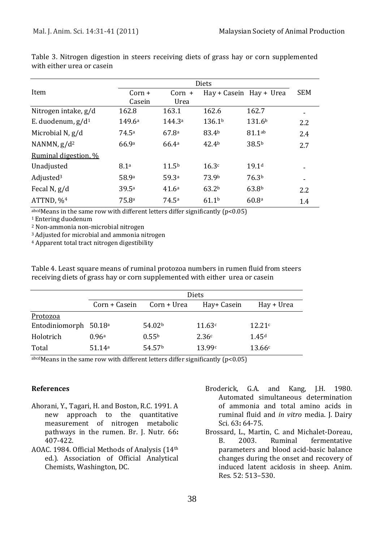|                       | Diets    |                    |                    |                         |            |
|-----------------------|----------|--------------------|--------------------|-------------------------|------------|
| Item                  | $Corn +$ | $Corn +$           |                    | Hay + Casein Hay + Urea | <b>SEM</b> |
|                       | Casein   | Urea               |                    |                         |            |
| Nitrogen intake, g/d  | 162.8    | 163.1              | 162.6              | 162.7                   |            |
| E. duodenum, $g/d1$   | 149.6a   | 144.3 <sup>a</sup> | 136.1 <sup>b</sup> | 131.6 <sup>b</sup>      | 2.2        |
| Microbial N, g/d      | 74.5a    | 67.8a              | 83.4b              | 81.1ab                  | 2.4        |
| NANMN, $g/d^2$        | 66.9a    | 66.4a              | 42.4 <sup>b</sup>  | 38.5 <sup>b</sup>       | 2.7        |
| Ruminal digestion, %  |          |                    |                    |                         |            |
| Unadjusted            | 8.1a     | 11.5 <sup>b</sup>  | 16.3c              | 19.1 <sup>d</sup>       |            |
| Adjusted <sup>3</sup> | 58.9a    | 59.3ª              | 73.9b              | 76.3 <sup>b</sup>       |            |
| Fecal $N$ , $g/d$     | 39.5a    | 41.6 <sup>a</sup>  | 63.2 <sup>b</sup>  | 63.8 <sup>b</sup>       | 2.2        |
| ATTND, % <sup>4</sup> | 75.8a    | 74.5a              | 61.1 <sup>b</sup>  | 60.8a                   | 1.4        |

Table 3. Nitrogen digestion in steers receiving diets of grass hay or corn supplemented with either urea or casein

 $a<sub>bcd</sub>$  Means in the same row with different letters differ significantly ( $p<0.05$ )

<sup>1</sup> Entering duodenum

<sup>2</sup> Non-ammonia non-microbial nitrogen

<sup>3</sup>Adjusted for microbial and ammonia nitrogen

<sup>4</sup> Apparent total tract nitrogen digestibility

Table 4. Least square means of ruminal protozoa numbers in rumen fluid from steers receiving diets of grass hay or corn supplemented with either urea or casein

|                                   | <b>Diets</b>  |                    |             |                   |
|-----------------------------------|---------------|--------------------|-------------|-------------------|
|                                   | Corn + Casein | Corn + Urea        | Hay+ Casein | Hay + Urea        |
| Protozoa                          |               |                    |             |                   |
| Entodiniomorph 50.18 <sup>a</sup> |               | 54.02 <sup>b</sup> | 11.63c      | 12.21c            |
| Holotrich                         | 0.96a         | 0.55 <sup>b</sup>  | 2.36c       | 1.45 <sup>d</sup> |
| Total                             | 51.14a        | 54.57 <sup>b</sup> | 13.99c      | 13.66c            |

 $a<sub>bcd</sub>$  Means in the same row with different letters differ significantly (p<0.05)

#### **References**

- Ahorani, Y., Tagari, H. and Boston, R.C. 1991. A new approach to the quantitative measurement of nitrogen metabolic pathways in the rumen. Br. J. Nutr*.* 66**:** 407-422.
- AOAC. 1984. Official Methods of Analysis (14th ed.). Association of Official Analytical Chemists, Washington, DC.
- Broderick, G.A. and Kang, J.H. 1980. Automated simultaneous determination of ammonia and total amino acids in ruminal fluid and *in vitro* media. J. Dairy Sci*.* 63**:** 64-75.
- Brossard, L., Martin, C. and Michalet-Doreau, B. 2003. Ruminal fermentative parameters and blood acid-basic balance changes during the onset and recovery of induced latent acidosis in sheep. Anim. Res*.* 52: 513–530.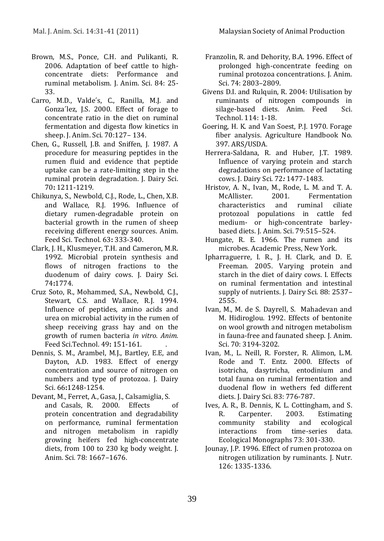- Brown, M.S., Ponce, C.H. and Pulikanti, R. 2006. Adaptation of beef cattle to highconcentrate diets: Performance and ruminal metabolism. J. Anim. Sci. 84: 25- 33.
- Carro, M.D., Valde´s, C., Ranilla, M.J. and Gonza´lez, J.S. 2000. Effect of forage to concentrate ratio in the diet on ruminal fermentation and digesta flow kinetics in sheep. J. Anim. Sci. 70:127– 134.
- Chen, G., Russell, J.B. and Sniffen, J. 1987. A procedure for measuring peptides in the rumen fluid and evidence that peptide uptake can be a rate-limiting step in the ruminal protein degradation. J. Dairy Sci. 70**:** 1211-1219.
- Chikunya, S., Newbold, C.J., Rode, L., Chen, X.B. and Wallace, R.J. 1996. Influence of dietary rumen-degradable protein on bacterial growth in the rumen of sheep receiving different energy sources. Anim. Feed Sci. Technol*.* 63**:** 333-340.
- Clark, J. H., Klusmeyer, T.H. and Cameron, M.R. 1992. Microbial protein synthesis and flows of nitrogen fractions to the duodenum of dairy cows. J. Dairy Sci. 74**:**1774.
- Cruz Soto, R., Mohammed, S.A., Newbold, C.J., Stewart, C.S. and Wallace, R.J. 1994. Influence of peptides, amino acids and urea on microbial activity in the rumen of sheep receiving grass hay and on the growth of rumen bacteria *in vitro. Anim.*  Feed Sci.Technol. 49**:** 151-161. .
- Dennis, S. M., Arambel, M.J., Bartley, E.E, and Dayton, A.D. 1983. Effect of energy concentration and source of nitrogen on numbers and type of protozoa. J. Dairy Sci. 66**:**1248-1254.
- Devant, M., Ferret, A., Gasa, J., Calsamiglia, S. and Casals, R. 2000. Effects of protein concentration and degradability on performance, ruminal fermentation and nitrogen metabolism in rapidly growing heifers fed high-concentrate diets, from 100 to 230 kg body weight. J. Anim. Sci*.* 78: 1667–1676.
- Franzolin, R. and Dehority, B.A. 1996. Effect of prolonged high-concentrate feeding on ruminal protozoa concentrations. J. Anim. Sci. 74: 2803–2809.
- Givens D.I. and Rulquin, R. 2004: Utilisation by ruminants of nitrogen compounds in silage-based diets. Anim. Feed Sci. Technol. 114: 1-18.
- Goering, H. K. and Van Soest, P.J. 1970. Forage fiber analysis. Agriculture Handbook No. 397. ARS/USDA.
- Herrera-Saldana, R. and Huber, J.T. 1989. Influence of varying protein and starch degradations on performance of lactating cows. J. Dairy Sci*.* 72*:* 1477-1483.
- Hristov, A. N., Ivan, M., Rode, L. M. and T. A. McAllister. 2001. Fermentation characteristics and ruminal ciliate protozoal populations in cattle fed medium- or high-concentrate barleybased diets. J. Anim. Sci. 79:515–524.
- Hungate, R. E. 1966. The rumen and its microbes. Academic Press, New York.
- Ipharraguerre, I. R., J. H. Clark, and D. E. Freeman. 2005. Varying protein and starch in the diet of dairy cows. I. Effects on ruminal fermentation and intestinal supply of nutrients. J. Dairy Sci. 88: 2537– 2555.
- Ivan, M., M. de S. Dayrell, S. Mahadevan and M. Hidiroglou. 1992. Effects of bentonite on wool growth and nitrogen metabolism in fauna-free and faunated sheep. J. Anim. Sci. 70: 3194-3202.
- Ivan, M., L. Neill, R. Forster, R. Alimon, L.M. Rode and T. Entz. 2000. Effects of isotricha, dasytricha, entodinium and total fauna on ruminal fermentation and duodenal flow in wethers fed different diets. J. Dairy Sci. 83: 776-787.
- Ives, A. R., B. Dennis, K. L. Cottingham, and S. R. Carpenter. 2003. Estimating community stability and ecological interactions from time-series data. Ecological Monographs 73: 301-330.
- Jounay, J.P. 1996. Effect of rumen protozoa on nitrogen utilization by ruminants. J. Nutr. 126: 1335-1336.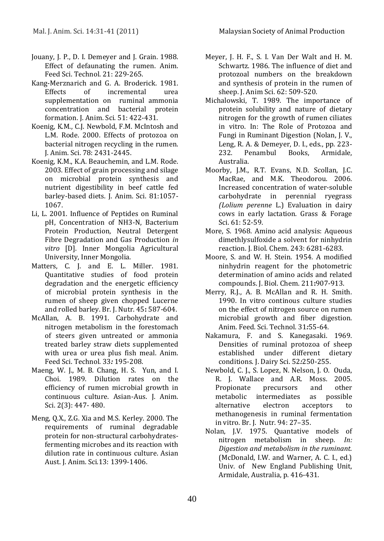- Jouany, J. P., D. I. Demeyer and J. Grain. 1988. Effect of defaunating the rumen. Anim. Feed Sci. Technol. 21: 229-265.
- Kang-Merznarich and G. A. Broderick. 1981. Effects of incremental urea supplementation on ruminal ammonia concentration and bacterial protein formation. J. Anim. Sci. 51: 422-431.
- Koenig, K.M., C.J. Newbold, F.M. McIntosh and L.M. Rode. 2000. Effects of protozoa on bacterial nitrogen recycling in the rumen. J. Anim. Sci. 78: 2431-2445.
- Koenig, K.M., K.A. Beauchemin, and L.M. Rode. 2003. Effect of grain processing and silage on microbial protein synthesis and nutrient digestibility in beef cattle fed barley-based diets. J. Anim. Sci. 81:1057- 1067.
- Li, L. 2001. Influence of Peptides on Ruminal pH, Concentration of NH3-N, Bacterium Protein Production, Neutral Detergent Fibre Degradation and Gas Production *in vitro* [D]. Inner Mongolia Agricultural University, Inner Mongolia.
- Matters, C. J. and E. L. Miller. 1981. Quantitative studies of food protein degradation and the energetic efficiency of microbial protein synthesis in the rumen of sheep given chopped Lucerne and rolled barley. Br. J. Nutr. 45**:** 587-604.
- McAllan, A. B. 1991. Carbohydrate and nitrogen metabolism in the forestomach of steers given untreated or ammonia treated barley straw diets supplemented with urea or urea plus fish meal. Anim. Feed Sci. Technol*.* 33*:* 195-208.
- Maeng, W. J., M. B. Chang, H. S. Yun, and I. Choi. 1989. Dilution rates on the efficiency of rumen microbial growth in continuous culture. Asian-Aus. J. Anim. Sci. 2(3): 447- 480.
- Meng, Q.X., Z.G. Xia and M.S. Kerley. 2000. The requirements of ruminal degradable protein for non-structural carbohydratesfermenting microbes and its reaction with dilution rate in continuous culture. Asian Aust. J. Anim. Sci.13: 1399-1406.
- Meyer, J. H. F., S. I. Van Der Walt and H. M. Schwartz. 1986. The influence of diet and protozoal numbers on the breakdown and synthesis of protein in the rumen of sheep. J. Anim Sci. 62: 509-520.
- Michalowski, T. 1989. The importance of protein solubility and nature of dietary nitrogen for the growth of rumen ciliates in vitro. In: The Role of Protozoa and Fungi in Ruminant Digestion (Nolan, J. V., Leng, R. A. & Demeyer, D. I., eds., pp. 223- 232. Penambul Books, Armidale, Australia.
- Moorby, J.M., R.T. Evans, N.D. Scollan, J.C. MacRae, and M.K. Theodorou. 2006. Increased concentration of water-soluble carbohydrate in perennial ryegrass *(Lolium perenne* L.) Evaluation in dairy cows in early lactation. Grass & Forage Sci. 61: 52-59.
- More, S. 1968. Amino acid analysis: Aqueous dimethlysulfoxide a solvent for ninhydrin reaction. J. Biol. Chem. 243: 6281-6283.
- Moore, S. and W. H. Stein. 1954. A modified ninhydrin reagent for the photometric determination of amino acids and related compounds. J. Biol. Chem. 211**:**907-913.
- Merry, R.J., A. B. McAllan and R. H. Smith. 1990. In vitro continous culture studies on the effect of nitrogen source on rumen microbial growth and fiber digestion. Anim. Feed. Sci. Technol*.* 31*:*55-64.
- Nakamura, F. and S. Kanegasaki. 1969. Densities of ruminal protozoa of sheep established under different dietary conditions. J. Dairy Sci. 52*:*250-255.
- Newbold, C. J., S. Lopez, N. Nelson, J. O. Ouda, R. J. Wallace and A.R. Moss. 2005. Propionate precursors and other metabolic intermediates as possible alternative electron acceptors to methanogenesis in ruminal fermentation in vitro. Br. J. Nutr. 94: 27–35.
- Nolan, J.V. 1975. Quantative models of nitrogen metabolism in sheep*. In: Digestion and metabolism in the ruminant.* (McDonald, I.W. and Warner, A. C. I., ed.) Univ. of New England Publishing Unit, Armidale, Australia, p. 416-431.